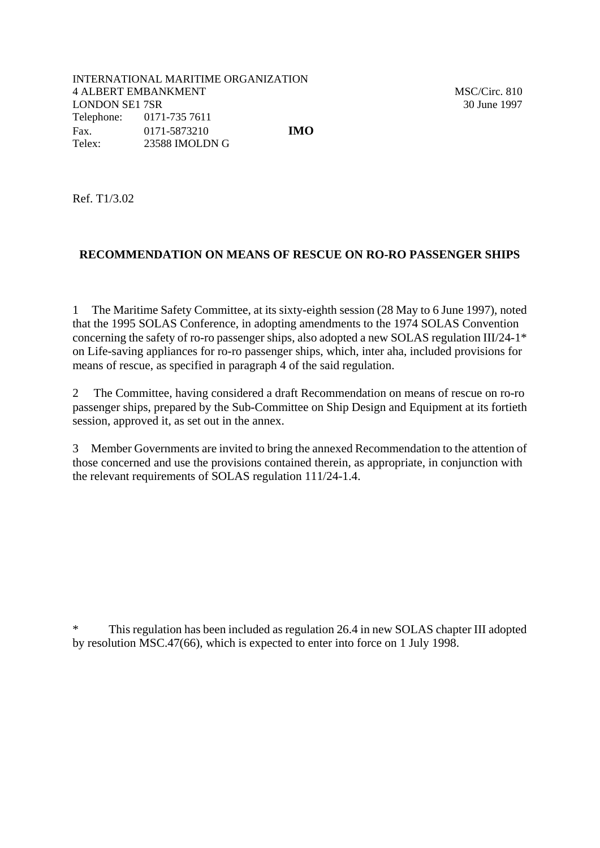Ref. T1/3.02

## **RECOMMENDATION ON MEANS OF RESCUE ON RO-RO PASSENGER SHIPS**

1 The Maritime Safety Committee, at its sixty-eighth session (28 May to 6 June 1997), noted that the 1995 SOLAS Conference, in adopting amendments to the 1974 SOLAS Convention concerning the safety of ro-ro passenger ships, also adopted a new SOLAS regulation III/24-1\* on Life-saving appliances for ro-ro passenger ships, which, inter aha, included provisions for means of rescue, as specified in paragraph 4 of the said regulation.

2 The Committee, having considered a draft Recommendation on means of rescue on ro-ro passenger ships, prepared by the Sub-Committee on Ship Design and Equipment at its fortieth session, approved it, as set out in the annex.

3 Member Governments are invited to bring the annexed Recommendation to the attention of those concerned and use the provisions contained therein, as appropriate, in conjunction with the relevant requirements of SOLAS regulation 111/24-1.4.

\* This regulation has been included as regulation 26.4 in new SOLAS chapter III adopted by resolution MSC.47(66), which is expected to enter into force on 1 July 1998.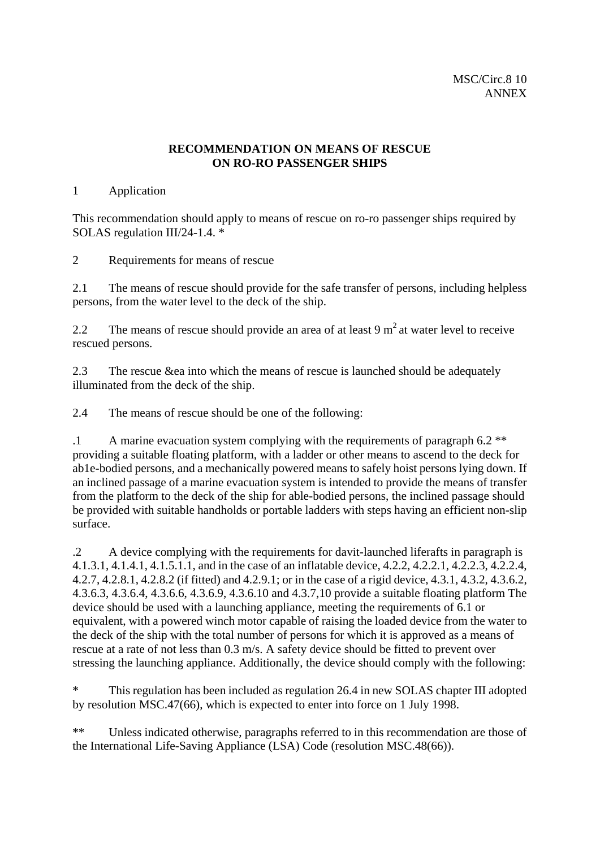## **RECOMMENDATION ON MEANS OF RESCUE ON RO-RO PASSENGER SHIPS**

## 1 Application

This recommendation should apply to means of rescue on ro-ro passenger ships required by SOLAS regulation III/24-1.4. \*

2 Requirements for means of rescue

2.1 The means of rescue should provide for the safe transfer of persons, including helpless persons, from the water level to the deck of the ship.

2.2 The means of rescue should provide an area of at least  $9 \text{ m}^2$  at water level to receive rescued persons.

2.3 The rescue &ea into which the means of rescue is launched should be adequately illuminated from the deck of the ship.

2.4 The means of rescue should be one of the following:

.1 A marine evacuation system complying with the requirements of paragraph 6.2 \*\* providing a suitable floating platform, with a ladder or other means to ascend to the deck for ab1e-bodied persons, and a mechanically powered means to safely hoist persons lying down. If an inclined passage of a marine evacuation system is intended to provide the means of transfer from the platform to the deck of the ship for able-bodied persons, the inclined passage should be provided with suitable handholds or portable ladders with steps having an efficient non-slip surface.

.2 A device complying with the requirements for davit-launched liferafts in paragraph is 4.1.3.1, 4.1.4.1, 4.1.5.1.1, and in the case of an inflatable device, 4.2.2, 4.2.2.1, 4.2.2.3, 4.2.2.4, 4.2.7, 4.2.8.1, 4.2.8.2 (if fitted) and 4.2.9.1; or in the case of a rigid device, 4.3.1, 4.3.2, 4.3.6.2, 4.3.6.3, 4.3.6.4, 4.3.6.6, 4.3.6.9, 4.3.6.10 and 4.3.7,10 provide a suitable floating platform The device should be used with a launching appliance, meeting the requirements of 6.1 or equivalent, with a powered winch motor capable of raising the loaded device from the water to the deck of the ship with the total number of persons for which it is approved as a means of rescue at a rate of not less than 0.3 m/s. A safety device should be fitted to prevent over stressing the launching appliance. Additionally, the device should comply with the following:

\* This regulation has been included as regulation 26.4 in new SOLAS chapter III adopted by resolution MSC.47(66), which is expected to enter into force on 1 July 1998.

\*\* Unless indicated otherwise, paragraphs referred to in this recommendation are those of the International Life-Saving Appliance (LSA) Code (resolution MSC.48(66)).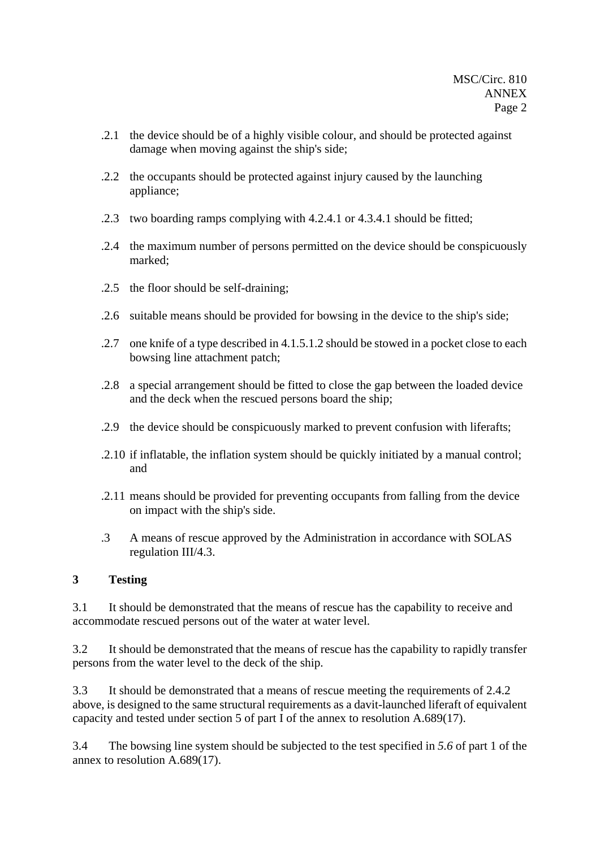- .2.1 the device should be of a highly visible colour, and should be protected against damage when moving against the ship's side;
- .2.2 the occupants should be protected against injury caused by the launching appliance;
- .2.3 two boarding ramps complying with 4.2.4.1 or 4.3.4.1 should be fitted;
- .2.4 the maximum number of persons permitted on the device should be conspicuously marked;
- .2.5 the floor should be self-draining;
- .2.6 suitable means should be provided for bowsing in the device to the ship's side;
- .2.7 one knife of a type described in 4.1.5.1.2 should be stowed in a pocket close to each bowsing line attachment patch;
- .2.8 a special arrangement should be fitted to close the gap between the loaded device and the deck when the rescued persons board the ship;
- .2.9 the device should be conspicuously marked to prevent confusion with liferafts;
- .2.10 if inflatable, the inflation system should be quickly initiated by a manual control; and
- .2.11 means should be provided for preventing occupants from falling from the device on impact with the ship's side.
- .3 A means of rescue approved by the Administration in accordance with SOLAS regulation III/4.3.

## **3 Testing**

3.1 It should be demonstrated that the means of rescue has the capability to receive and accommodate rescued persons out of the water at water level.

3.2 It should be demonstrated that the means of rescue has the capability to rapidly transfer persons from the water level to the deck of the ship.

3.3 It should be demonstrated that a means of rescue meeting the requirements of 2.4.2 above, is designed to the same structural requirements as a davit-launched liferaft of equivalent capacity and tested under section 5 of part I of the annex to resolution A.689(17).

3.4 The bowsing line system should be subjected to the test specified in *5.6* of part 1 of the annex to resolution A.689(17).